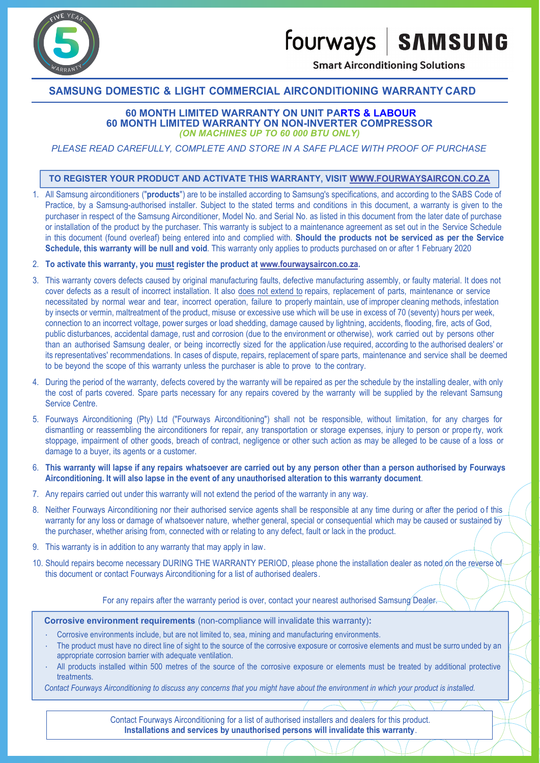fourways | SAMSUNG



**Smart Airconditioning Solutions** 

## **SAMSUNG DOMESTIC & LIGHT COMMERCIAL AIRCONDITIONING WARRANTY CARD**

**60 MONTH LIMITED WARRANTY ON UNIT PARTS & LABOUR 60 MONTH LIMITED WARRANTY ON NON-INVERTER COMPRESSOR** *(ON MACHINES UP TO 60 000 BTU ONLY)*

*PLEASE READ CAREFULLY, COMPLETE AND STORE IN A SAFE PLACE WITH PROOF OF PURCHASE*

### **TO REGISTER YOUR PRODUCT AND ACTIVATE THIS WARRANTY, VISIT WWW.FOURWAYSAIRCON.CO.ZA**

1. All Samsung airconditioners ("**products**") are to be installed according to Samsung's specifications, and according to the SABS Code of Practice, by a Samsung-authorised installer. Subject to the stated terms and conditions in this document, a warranty is given to the purchaser in respect of the Samsung Airconditioner, Model No. and Serial No. as listed in this document from the later date of purchase or installation of the product by the purchaser. This warranty is subject to a maintenance agreement as set out in the Service Schedule in this document (found overleaf) being entered into and complied with. **Should the products not be serviced as per the Service Schedule, this warranty will be null and void**. This warranty only applies to products purchased on or after 1 February 2020

### 2. **To activate this warranty, you must register the product at www.fourwaysaircon.co.za.**

- 3. This warranty covers defects caused by original manufacturing faults, defective manufacturing assembly, or faulty material. It does not cover defects as a result of incorrect installation. It also does not extend to repairs, replacement of parts, maintenance or service necessitated by normal wear and tear, incorrect operation, failure to properly maintain, use of improper cleaning methods, infestation by insects or vermin, maltreatment of the product, misuse or excessive use which will be use in excess of 70 (seventy) hours per week, connection to an incorrect voltage, power surges or load shedding, damage caused by lightning, accidents, flooding, fire, acts of God, public disturbances, accidental damage, rust and corrosion (due to the environment or otherwise), work carried out by persons other than an authorised Samsung dealer, or being incorrectly sized for the application /use required, according to the authorised dealers' or its representatives' recommendations. In cases of dispute, repairs, replacement of spare parts, maintenance and service shall be deemed to be beyond the scope of this warranty unless the purchaser is able to prove to the contrary.
- 4. During the period of the warranty, defects covered by the warranty will be repaired as per the schedule by the installing dealer, with only the cost of parts covered. Spare parts necessary for any repairs covered by the warranty will be supplied by the relevant Samsung Service Centre.
- 5. Fourways Airconditioning (Pty) Ltd ("Fourways Airconditioning") shall not be responsible, without limitation, for any charges for dismantling or reassembling the airconditioners for repair, any transportation or storage expenses, injury to person or prope rty, work stoppage, impairment of other goods, breach of contract, negligence or other such action as may be alleged to be cause of a loss or damage to a buyer, its agents or a customer.
- 6. **This warranty will lapse if any repairs whatsoever are carried out by any person other than a person authorised by Fourways Airconditioning. It will also lapse in the event of any unauthorised alteration to this warranty document**.
- 7. Any repairs carried out under this warranty will not extend the period of the warranty in any way.
- 8. Neither Fourways Airconditioning nor their authorised service agents shall be responsible at any time during or after the period of this warranty for any loss or damage of whatsoever nature, whether general, special or consequential which may be caused or sustained by the purchaser, whether arising from, connected with or relating to any defect, fault or lack in the product.
- 9. This warranty is in addition to any warranty that may apply in law.
- 10. Should repairs become necessary DURING THE WARRANTY PERIOD, please phone the installation dealer as noted on the reverse of this document or contact Fourways Airconditioning for a list of authorised dealers.

For any repairs after the warranty period is over, contact your nearest authorised Samsung Dealer.

**Corrosive environment requirements** (non-compliance will invalidate this warranty)**:**

- Corrosive environments include, but are not limited to, sea, mining and manufacturing environments.
- The product must have no direct line of sight to the source of the corrosive exposure or corrosive elements and must be surro unded by an appropriate corrosion barrier with adequate ventilation.
- All products installed within 500 metres of the source of the corrosive exposure or elements must be treated by additional protective treatments.

*Contact Fourways Airconditioning to discuss any concerns that you might have about the environment in which your product is installed.*

Contact Fourways Airconditioning for a list of authorised installers and dealers for this product. **Installations and services by unauthorised persons will invalidate this warranty**.